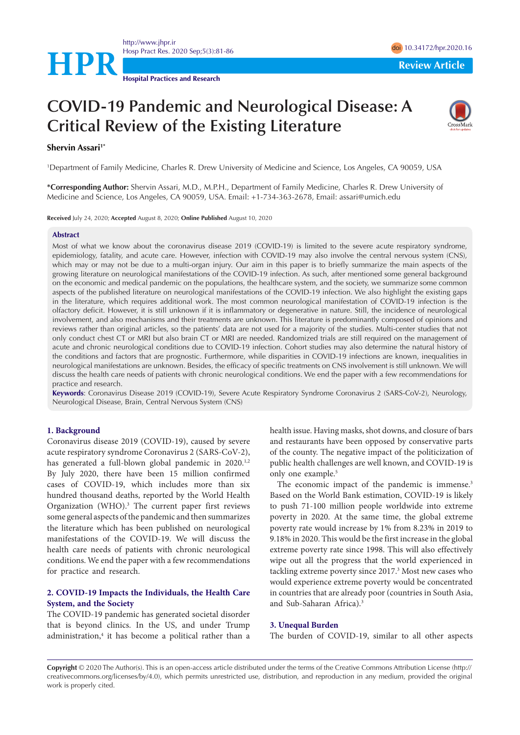

**Hospital Practices and Research**

# **COVID-19 Pandemic and Neurological Disease: A Critical Review of the Existing Literature**



## **Shervin Assari<sup>1\*</sup>**

1 Department of Family Medicine, Charles R. Drew University of Medicine and Science, Los Angeles, CA 90059, USA

**\*Corresponding Author:** Shervin Assari, M.D., M.P.H., Department of Family Medicine, Charles R. Drew University of Medicine and Science, Los Angeles, CA 90059, USA. Email: +1-734-363-2678, Email: assari@umich.edu

**Received** July 24, 2020; **Accepted** August 8, 2020; **Online Published** August 10, 2020

#### **Abstract**

Most of what we know about the coronavirus disease 2019 (COVID-19) is limited to the severe acute respiratory syndrome, epidemiology, fatality, and acute care. However, infection with COVID-19 may also involve the central nervous system (CNS), which may or may not be due to a multi-organ injury. Our aim in this paper is to briefly summarize the main aspects of the growing literature on neurological manifestations of the COVID-19 infection. As such, after mentioned some general background on the economic and medical pandemic on the populations, the healthcare system, and the society, we summarize some common aspects of the published literature on neurological manifestations of the COVID-19 infection. We also highlight the existing gaps in the literature, which requires additional work. The most common neurological manifestation of COVID-19 infection is the olfactory deficit. However, it is still unknown if it is inflammatory or degenerative in nature. Still, the incidence of neurological involvement, and also mechanisms and their treatments are unknown. This literature is predominantly composed of opinions and reviews rather than original articles, so the patients' data are not used for a majority of the studies. Multi-center studies that not only conduct chest CT or MRI but also brain CT or MRI are needed. Randomized trials are still required on the management of acute and chronic neurological conditions due to COVID-19 infection. Cohort studies may also determine the natural history of the conditions and factors that are prognostic. Furthermore, while disparities in COVID-19 infections are known, inequalities in neurological manifestations are unknown. Besides, the efficacy of specific treatments on CNS involvement is still unknown. We will discuss the health care needs of patients with chronic neurological conditions. We end the paper with a few recommendations for practice and research.

**Keywords**: Coronavirus Disease 2019 (COVID-19), Severe Acute Respiratory Syndrome Coronavirus 2 (SARS-CoV-2), Neurology, Neurological Disease, Brain, Central Nervous System (CNS)

## **1. Background**

Coronavirus disease 2019 (COVID-19), caused by severe acute respiratory syndrome Coronavirus 2 (SARS-CoV-2), has generated a full-blown global pandemic in 2020.<sup>1,2</sup> By July 2020, there have been 15 million confirmed cases of COVID-19, which includes more than six hundred thousand deaths, reported by the World Health Organization (WHO).<sup>3</sup> The current paper first reviews some general aspects of the pandemic and then summarizes the literature which has been published on neurological manifestations of the COVID-19. We will discuss the health care needs of patients with chronic neurological conditions. We end the paper with a few recommendations for practice and research.

# **2. COVID-19 Impacts the Individuals, the Health Care System, and the Society**

The COVID-19 pandemic has generated societal disorder that is beyond clinics. In the US, and under Trump administration,4 it has become a political rather than a health issue. Having masks, shot downs, and closure of bars and restaurants have been opposed by conservative parts of the county. The negative impact of the politicization of public health challenges are well known, and COVID-19 is only one example.<sup>5</sup>

The economic impact of the pandemic is immense.<sup>3</sup> Based on the World Bank estimation, COVID-19 is likely to push 71-100 million people worldwide into extreme poverty in 2020. At the same time, the global extreme poverty rate would increase by 1% from 8.23% in 2019 to 9.18% in 2020. This would be the first increase in the global extreme poverty rate since 1998. This will also effectively wipe out all the progress that the world experienced in tackling extreme poverty since 2017.<sup>3</sup> Most new cases who would experience extreme poverty would be concentrated in countries that are already poor (countries in South Asia, and Sub-Saharan Africa).3

#### **3. Unequal Burden**

The burden of COVID-19, similar to all other aspects

**Copyright** © 2020 The Author(s). This is an open-access article distributed under the terms of the Creative Commons Attribution License (http:// creativecommons.org/licenses/by/4.0), which permits unrestricted use, distribution, and reproduction in any medium, provided the original work is properly cited.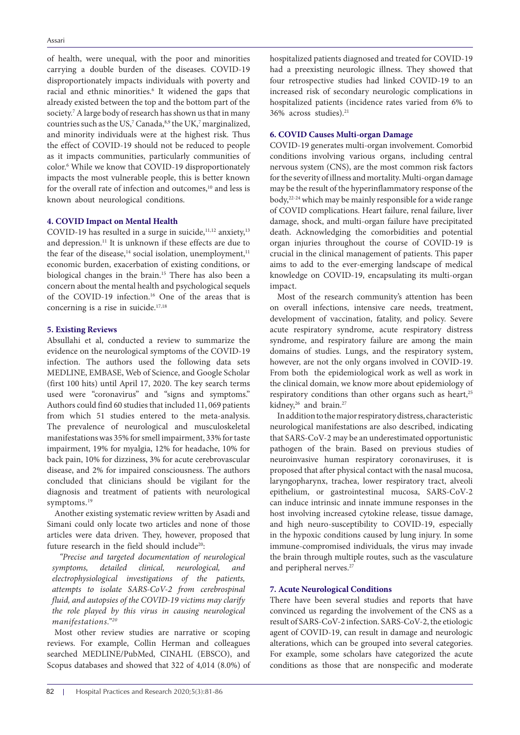of health, were unequal, with the poor and minorities carrying a double burden of the diseases. COVID-19 disproportionately impacts individuals with poverty and racial and ethnic minorities.<sup>6</sup> It widened the gaps that already existed between the top and the bottom part of the society.<sup>7</sup> A large body of research has shown us that in many countries such as the US,<sup>7</sup> Canada,  $8,9$  the UK,<sup>7</sup> marginalized, and minority individuals were at the highest risk. Thus the effect of COVID-19 should not be reduced to people as it impacts communities, particularly communities of color.6 While we know that COVID-19 disproportionately impacts the most vulnerable people, this is better known for the overall rate of infection and outcomes,<sup>10</sup> and less is known about neurological conditions.

## **4. COVID Impact on Mental Health**

COVID-19 has resulted in a surge in suicide, $11,12$  anxiety, $13$ and depression.11 It is unknown if these effects are due to the fear of the disease,<sup>14</sup> social isolation, unemployment,<sup>11</sup> economic burden, exacerbation of existing conditions, or biological changes in the brain.15 There has also been a concern about the mental health and psychological sequels of the COVID-19 infection.16 One of the areas that is concerning is a rise in suicide.<sup>17,18</sup>

## **5. Existing Reviews**

Absullahi et al, conducted a review to summarize the evidence on the neurological symptoms of the COVID-19 infection. The authors used the following data sets MEDLINE, EMBASE, Web of Science, and Google Scholar (first 100 hits) until April 17, 2020. The key search terms used were "coronavirus" and "signs and symptoms." Authors could find 60 studies that included 11, 069 patients from which 51 studies entered to the meta-analysis. The prevalence of neurological and musculoskeletal manifestations was 35% for smell impairment, 33% for taste impairment, 19% for myalgia, 12% for headache, 10% for back pain, 10% for dizziness, 3% for acute cerebrovascular disease, and 2% for impaired consciousness. The authors concluded that clinicians should be vigilant for the diagnosis and treatment of patients with neurological symptoms.<sup>19</sup>

Another existing systematic review written by Asadi and Simani could only locate two articles and none of those articles were data driven. They, however, proposed that future research in the field should include<sup>20</sup>:

*"Precise and targeted documentation of neurological symptoms, detailed clinical, neurological, and electrophysiological investigations of the patients, attempts to isolate SARS-CoV-2 from cerebrospinal fluid, and autopsies of the COVID-19 victims may clarify the role played by this virus in causing neurological manifestations."20*

Most other review studies are narrative or scoping reviews. For example, Collin Herman and colleagues searched MEDLINE/PubMed, CINAHL (EBSCO), and Scopus databases and showed that 322 of 4,014 (8.0%) of hospitalized patients diagnosed and treated for COVID-19 had a preexisting neurologic illness. They showed that four retrospective studies had linked COVID-19 to an increased risk of secondary neurologic complications in hospitalized patients (incidence rates varied from 6% to 36% across studies).21

## **6. COVID Causes Multi-organ Damage**

COVID-19 generates multi-organ involvement. Comorbid conditions involving various organs, including central nervous system (CNS), are the most common risk factors for the severity of illness and mortality. Multi-organ damage may be the result of the hyperinflammatory response of the body,<sup>22-24</sup> which may be mainly responsible for a wide range of COVID complications. Heart failure, renal failure, liver damage, shock, and multi-organ failure have precipitated death. Acknowledging the comorbidities and potential organ injuries throughout the course of COVID-19 is crucial in the clinical management of patients. This paper aims to add to the ever-emerging landscape of medical knowledge on COVID-19, encapsulating its multi-organ impact.

Most of the research community's attention has been on overall infections, intensive care needs, treatment, development of vaccination, fatality, and policy. Severe acute respiratory syndrome, acute respiratory distress syndrome, and respiratory failure are among the main domains of studies. Lungs, and the respiratory system, however, are not the only organs involved in COVID-19. From both the epidemiological work as well as work in the clinical domain, we know more about epidemiology of respiratory conditions than other organs such as heart,<sup>25</sup> kidney,<sup>26</sup> and brain.<sup>27</sup>

In addition to the major respiratory distress, characteristic neurological manifestations are also described, indicating that SARS-CoV-2 may be an underestimated opportunistic pathogen of the brain. Based on previous studies of neuroinvasive human respiratory coronaviruses, it is proposed that after physical contact with the nasal mucosa, laryngopharynx, trachea, lower respiratory tract, alveoli epithelium, or gastrointestinal mucosa, SARS-CoV-2 can induce intrinsic and innate immune responses in the host involving increased cytokine release, tissue damage, and high neuro-susceptibility to COVID-19, especially in the hypoxic conditions caused by lung injury. In some immune-compromised individuals, the virus may invade the brain through multiple routes, such as the vasculature and peripheral nerves.<sup>27</sup>

## **7. Acute Neurological Conditions**

There have been several studies and reports that have convinced us regarding the involvement of the CNS as a result of SARS-CoV-2 infection. SARS-CoV-2, the etiologic agent of COVID-19, can result in damage and neurologic alterations, which can be grouped into several categories. For example, some scholars have categorized the acute conditions as those that are nonspecific and moderate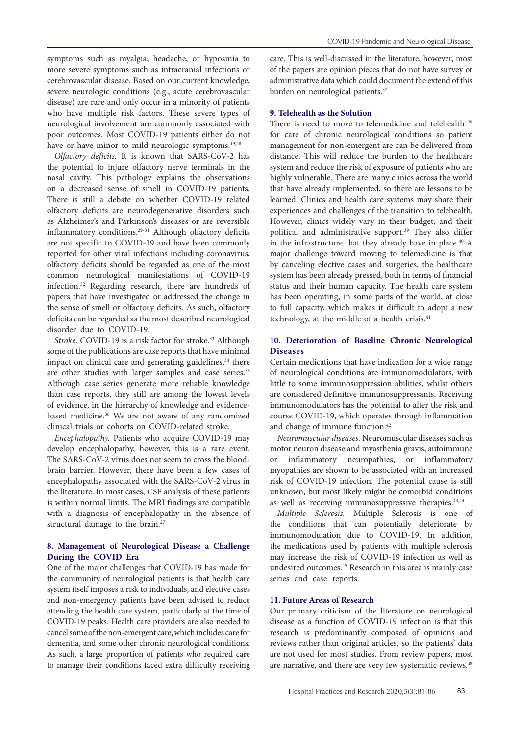symptoms such as myalgia, headache, or hyposmia to more severe symptoms such as intracranial infections or cerebrovascular disease. Based on our current knowledge, severe neurologic conditions (e.g., acute cerebrovascular disease) are rare and only occur in a minority of patients who have multiple risk factors. These severe types of neurological involvement are commonly associated with poor outcomes. Most COVID-19 patients either do not have or have minor to mild neurologic symptoms.<sup>19,28</sup>

*Olfactory deficits.* It is known that SARS-CoV-2 has the potential to injure olfactory nerve terminals in the nasal cavity. This pathology explains the observations on a decreased sense of smell in COVID-19 patients. There is still a debate on whether COVID-19 related olfactory deficits are neurodegenerative disorders such as Alzheimer's and Parkinson's diseases or are reversible inflammatory conditions.29-31 Although olfactory deficits are not specific to COVID-19 and have been commonly reported for other viral infections including coronavirus, olfactory deficits should be regarded as one of the most common neurological manifestations of COVID-19 infection.32 Regarding research, there are hundreds of papers that have investigated or addressed the change in the sense of smell or olfactory deficits. As such, olfactory deficits can be regarded as the most described neurological disorder due to COVID-19.

*Stroke.* COVID-19 is a risk factor for stroke.<sup>33</sup> Although some of the publications are case reports that have minimal impact on clinical care and generating guidelines, $34$  there are other studies with larger samples and case series.<sup>35</sup> Although case series generate more reliable knowledge than case reports, they still are among the lowest levels of evidence, in the hierarchy of knowledge and evidencebased medicine.<sup>36</sup> We are not aware of any randomized clinical trials or cohorts on COVID-related stroke.

*Encephalopathy.* Patients who acquire COVID-19 may develop encephalopathy, however, this is a rare event. The SARS-CoV-2 virus does not seem to cross the bloodbrain barrier. However, there have been a few cases of encephalopathy associated with the SARS-CoV-2 virus in the literature. In most cases, CSF analysis of these patients is within normal limits. The MRI findings are compatible with a diagnosis of encephalopathy in the absence of structural damage to the brain.<sup>27</sup>

# **8. Management of Neurological Disease a Challenge During the COVID Era**

One of the major challenges that COVID-19 has made for the community of neurological patients is that health care system itself imposes a risk to individuals, and elective cases and non-emergency patients have been advised to reduce attending the health care system, particularly at the time of COVID-19 peaks. Health care providers are also needed to cancel some of the non-emergent care, which includes care for dementia, and some other chronic neurological conditions. As such, a large proportion of patients who required care to manage their conditions faced extra difficulty receiving care. This is well-discussed in the literature, however, most of the papers are opinion pieces that do not have survey or administrative data which could document the extend of this burden on neurological patients.<sup>37</sup>

## **9. Telehealth as the Solution**

There is need to move to telemedicine and telehealth <sup>38</sup> for care of chronic neurological conditions so patient management for non-emergent are can be delivered from distance. This will reduce the burden to the healthcare system and reduce the risk of exposure of patients who are highly vulnerable. There are many clinics across the world that have already implemented, so there are lessons to be learned. Clinics and health care systems may share their experiences and challenges of the transition to telehealth. However, clinics widely vary in their budget, and their political and administrative support.<sup>39</sup> They also differ in the infrastructure that they already have in place.<sup>40</sup> A major challenge toward moving to telemedicine is that by canceling elective cases and surgeries, the healthcare system has been already pressed, both in terms of financial status and their human capacity. The health care system has been operating, in some parts of the world, at close to full capacity, which makes it difficult to adopt a new technology, at the middle of a health crisis. $41$ 

# **10. Deterioration of Baseline Chronic Neurological Diseases**

Certain medications that have indication for a wide range of neurological conditions are immunomodulators, with little to some immunosuppression abilities, whilst others are considered definitive immunosuppressants. Receiving immunomodulators has the potential to alter the risk and course COVID-19, which operates through inflammation and change of immune function.<sup>42</sup>

*Neuromuscular diseases.* Neuromuscular diseases such as motor neuron disease and myasthenia gravis, autoimmune or inflammatory neuropathies, or inflammatory myopathies are shown to be associated with an increased risk of COVID-19 infection. The potential cause is still unknown, but most likely might be comorbid conditions as well as receiving immunosuppressive therapies.<sup>43,44</sup>

*Multiple Sclerosis.* Multiple Sclerosis is one of the conditions that can potentially deteriorate by immunomodulation due to COVID-19. In addition, the medications used by patients with multiple sclerosis may increase the risk of COVID-19 infection as well as undesired outcomes.45 Research in this area is mainly case series and case reports.

## **11. Future Areas of Research**

Our primary criticism of the literature on neurological disease as a function of COVID-19 infection is that this research is predominantly composed of opinions and reviews rather than original articles, so the patients' data are not used for most studies. From review papers, most are narrative, and there are very few systematic reviews.**19**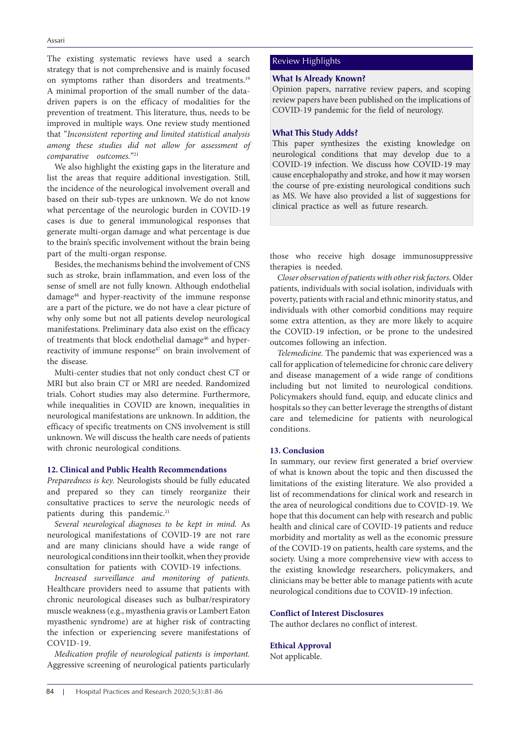The existing systematic reviews have used a search strategy that is not comprehensive and is mainly focused on symptoms rather than disorders and treatments.19 A minimal proportion of the small number of the datadriven papers is on the efficacy of modalities for the prevention of treatment. This literature, thus, needs to be improved in multiple ways. One review study mentioned that "*Inconsistent reporting and limited statistical analysis among these studies did not allow for assessment of comparative outcomes.*"21

We also highlight the existing gaps in the literature and list the areas that require additional investigation. Still, the incidence of the neurological involvement overall and based on their sub-types are unknown. We do not know what percentage of the neurologic burden in COVID-19 cases is due to general immunological responses that generate multi-organ damage and what percentage is due to the brain's specific involvement without the brain being part of the multi-organ response.

Besides, the mechanisms behind the involvement of CNS such as stroke, brain inflammation, and even loss of the sense of smell are not fully known. Although endothelial damage46 and hyper-reactivity of the immune response are a part of the picture, we do not have a clear picture of why only some but not all patients develop neurological manifestations. Preliminary data also exist on the efficacy of treatments that block endothelial damage<sup>46</sup> and hyperreactivity of immune response<sup>47</sup> on brain involvement of the disease.

Multi-center studies that not only conduct chest CT or MRI but also brain CT or MRI are needed. Randomized trials. Cohort studies may also determine. Furthermore, while inequalities in COVID are known, inequalities in neurological manifestations are unknown. In addition, the efficacy of specific treatments on CNS involvement is still unknown. We will discuss the health care needs of patients with chronic neurological conditions.

#### **12. Clinical and Public Health Recommendations**

*Preparedness is key.* Neurologists should be fully educated and prepared so they can timely reorganize their consultative practices to serve the neurologic needs of patients during this pandemic.<sup>21</sup>

*Several neurological diagnoses to be kept in mind.* As neurological manifestations of COVID-19 are not rare and are many clinicians should have a wide range of neurological conditions inn their toolkit, when they provide consultation for patients with COVID-19 infections.

*Increased surveillance and monitoring of patients.*  Healthcare providers need to assume that patients with chronic neurological diseases such as bulbar/respiratory muscle weakness (e.g., myasthenia gravis or Lambert Eaton myasthenic syndrome) are at higher risk of contracting the infection or experiencing severe manifestations of COVID-19.

*Medication profile of neurological patients is important.* Aggressive screening of neurological patients particularly

## Review Highlights

#### **What Is Already Known?**

Opinion papers, narrative review papers, and scoping review papers have been published on the implications of COVID-19 pandemic for the field of neurology.

## **What This Study Adds?**

This paper synthesizes the existing knowledge on neurological conditions that may develop due to a COVID-19 infection. We discuss how COVID-19 may cause encephalopathy and stroke, and how it may worsen the course of pre-existing neurological conditions such as MS. We have also provided a list of suggestions for clinical practice as well as future research.

those who receive high dosage immunosuppressive therapies is needed.

*Closer observation of patients with other risk factors.* Older patients, individuals with social isolation, individuals with poverty, patients with racial and ethnic minority status, and individuals with other comorbid conditions may require some extra attention, as they are more likely to acquire the COVID-19 infection, or be prone to the undesired outcomes following an infection.

*Telemedicine.* The pandemic that was experienced was a call for application of telemedicine for chronic care delivery and disease management of a wide range of conditions including but not limited to neurological conditions. Policymakers should fund, equip, and educate clinics and hospitals so they can better leverage the strengths of distant care and telemedicine for patients with neurological conditions.

#### **13. Conclusion**

In summary, our review first generated a brief overview of what is known about the topic and then discussed the limitations of the existing literature. We also provided a list of recommendations for clinical work and research in the area of neurological conditions due to COVID-19. We hope that this document can help with research and public health and clinical care of COVID-19 patients and reduce morbidity and mortality as well as the economic pressure of the COVID-19 on patients, health care systems, and the society. Using a more comprehensive view with access to the existing knowledge researchers, policymakers, and clinicians may be better able to manage patients with acute neurological conditions due to COVID-19 infection.

## **Conflict of Interest Disclosures**

The author declares no conflict of interest.

#### **Ethical Approval**

Not applicable.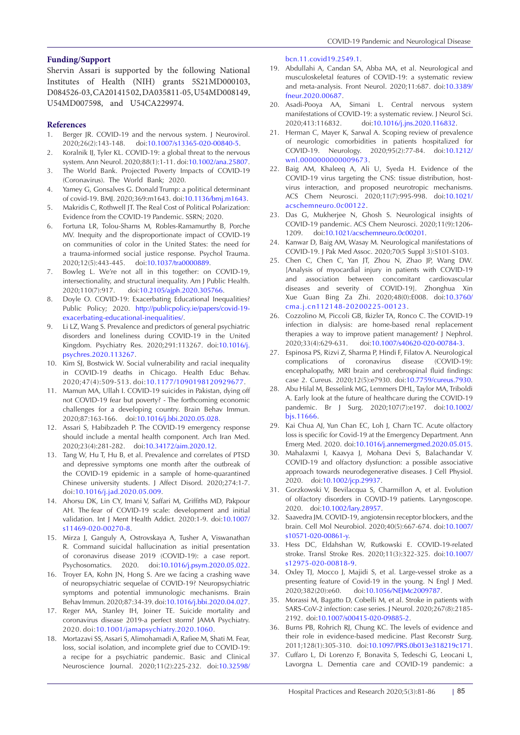#### **Funding/Support**

Shervin Assari is supported by the following National Institutes of Health (NIH) grants 5S21MD000103, D084526-03, CA201415 02, DA035811-05, U54MD008149, U54MD007598, and U54CA229974.

#### **References**

- 1. Berger JR. COVID-19 and the nervous system. J Neurovirol. 2020;26(2):143-148. doi:[10.1007/s13365-020-00840-5.](https://doi.org/10.1007/s13365-020-00840-5)
- 2. Koralnik IJ, Tyler KL. COVID-19: a global threat to the nervous system. Ann Neurol. 2020;88(1):1-11. doi[:10.1002/ana.25807](https://doi.org/10.1002/ana.25807).
- 3. The World Bank. Projected Poverty Impacts of COVID-19 (Coronavirus). The World Bank; 2020.
- 4. Yamey G, Gonsalves G. Donald Trump: a political determinant of covid-19. BMJ. 2020;369:m1643. doi[:10.1136/bmj.m1643](https://doi.org/10.1136/bmj.m1643).
- 5. Makridis C, Rothwell JT. The Real Cost of Political Polarization: Evidence from the COVID-19 Pandemic. SSRN; 2020.
- 6. Fortuna LR, Tolou-Shams M, Robles-Ramamurthy B, Porche MV. Inequity and the disproportionate impact of COVID-19 on communities of color in the United States: the need for a trauma-informed social justice response. Psychol Trauma. 2020;12(5):443-445. doi[:10.1037/tra0000889](https://doi.org/10.1037/tra0000889).
- 7. Bowleg L. We're not all in this together: on COVID-19, intersectionality, and structural inequality. Am J Public Health. 2020;110(7):917. doi:[10.2105/ajph.2020.305766](https://doi.org/10.2105/ajph.2020.305766).
- 8. Doyle O. COVID-19: Exacerbating Educational Inequalities? Public Policy; 2020. [http://publicpolicy.ie/papers/covid-19](http://publicpolicy.ie/papers/covid-19-exacerbating-educational-inequalities/) [exacerbating-educational-inequalities/.](http://publicpolicy.ie/papers/covid-19-exacerbating-educational-inequalities/)
- 9. Li LZ, Wang S. Prevalence and predictors of general psychiatric disorders and loneliness during COVID-19 in the United Kingdom. Psychiatry Res. 2020;291:113267. doi:[10.1016/j.](https://doi.org/10.1016/j.psychres.2020.113267) [psychres.2020.113267](https://doi.org/10.1016/j.psychres.2020.113267).
- 10. Kim SJ, Bostwick W. Social vulnerability and racial inequality in COVID-19 deaths in Chicago. Health Educ Behav. 2020;47(4):509-513. doi[:10.1177/1090198120929677](https://doi.org/10.1177/1090198120929677).
- 11. Mamun MA, Ullah I. COVID-19 suicides in Pakistan, dying off not COVID-19 fear but poverty? - The forthcoming economic challenges for a developing country. Brain Behav Immun. 2020;87:163-166. doi:[10.1016/j.bbi.2020.05.028](https://doi.org/10.1016/j.bbi.2020.05.028).
- 12. Assari S, Habibzadeh P. The COVID-19 emergency response should include a mental health component. Arch Iran Med. 2020;23(4):281-282. doi[:10.34172/aim.2020.12](https://doi.org/10.34172/aim.2020.12).
- 13. Tang W, Hu T, Hu B, et al. Prevalence and correlates of PTSD and depressive symptoms one month after the outbreak of the COVID-19 epidemic in a sample of home-quarantined Chinese university students. J Affect Disord. 2020;274:1-7. doi:[10.1016/j.jad.2020.05.009.](https://doi.org/10.1016/j.jad.2020.05.009)
- 14. Ahorsu DK, Lin CY, Imani V, Saffari M, Griffiths MD, Pakpour AH. The fear of COVID-19 scale: development and initial validation. Int J Ment Health Addict. 2020:1-9. doi[:10.1007/](https://doi.org/10.1007/s11469-020-00270-8) [s11469-020-00270-8](https://doi.org/10.1007/s11469-020-00270-8).
- 15. Mirza J, Ganguly A, Ostrovskaya A, Tusher A, Viswanathan R. Command suicidal hallucination as initial presentation of coronavirus disease 2019 (COVID-19): a case report. Psychosomatics. 2020. doi:[10.1016/j.psym.2020.05.022](https://doi.org/10.1016/j.psym.2020.05.022).
- 16. Troyer EA, Kohn JN, Hong S. Are we facing a crashing wave of neuropsychiatric sequelae of COVID-19? Neuropsychiatric symptoms and potential immunologic mechanisms. Brain Behav Immun. 2020;87:34-39. doi:[10.1016/j.bbi.2020.04.027](https://doi.org/10.1016/j.bbi.2020.04.027).
- 17. Reger MA, Stanley IH, Joiner TE. Suicide mortality and coronavirus disease 2019-a perfect storm? JAMA Psychiatry. 2020. doi:[10.1001/jamapsychiatry.2020.1060](https://doi.org/10.1001/jamapsychiatry.2020.1060).
- 18. Mortazavi SS, Assari S, Alimohamadi A, Rafiee M, Shati M. Fear, loss, social isolation, and incomplete grief due to COVID-19: a recipe for a psychiatric pandemic. Basic and Clinical Neuroscience Journal. 2020;11(2):225-232. doi:[10.32598/](https://doi.org/10.32598/bcn.11.covid19.2549.1)

[bcn.11.covid19.2549.1](https://doi.org/10.32598/bcn.11.covid19.2549.1).

- 19. Abdullahi A, Candan SA, Abba MA, et al. Neurological and musculoskeletal features of COVID-19: a systematic review and meta-analysis. Front Neurol. 2020;11:687. doi[:10.3389/](https://doi.org/10.3389/fneur.2020.00687) [fneur.2020.00687](https://doi.org/10.3389/fneur.2020.00687).
- 20. Asadi-Pooya AA, Simani L. Central nervous system manifestations of COVID-19: a systematic review. J Neurol Sci. 2020;413:116832. doi[:10.1016/j.jns.2020.116832.](https://doi.org/10.1016/j.jns.2020.116832)
- 21. Herman C, Mayer K, Sarwal A. Scoping review of prevalence of neurologic comorbidities in patients hospitalized for COVID-19. Neurology. 2020;95(2):77-84. doi[:10.1212/](https://doi.org/10.1212/wnl.0000000000009673) [wnl.0000000000009673.](https://doi.org/10.1212/wnl.0000000000009673)
- 22. Baig AM, Khaleeq A, Ali U, Syeda H. Evidence of the COVID-19 virus targeting the CNS: tissue distribution, hostvirus interaction, and proposed neurotropic mechanisms. ACS Chem Neurosci. 2020;11(7):995-998. doi[:10.1021/](https://doi.org/10.1021/acschemneuro.0c00122) [acschemneuro.0c00122](https://doi.org/10.1021/acschemneuro.0c00122).
- 23. Das G, Mukherjee N, Ghosh S. Neurological insights of COVID-19 pandemic. ACS Chem Neurosci. 2020;11(9):1206- 1209. doi[:10.1021/acschemneuro.0c00201](https://doi.org/10.1021/acschemneuro.0c00201).
- 24. Kanwar D, Baig AM, Wasay M. Neurological manifestations of COVID-19. J Pak Med Assoc. 2020;70(5 Suppl 3):S101-S103.
- 25. Chen C, Chen C, Yan JT, Zhou N, Zhao JP, Wang DW. [Analysis of myocardial injury in patients with COVID-19 and association between concomitant cardiovascular diseases and severity of COVID-19]. Zhonghua Xin Xue Guan Bing Za Zhi. 2020;48(0):E008. doi[:10.3760/](https://doi.org/10.3760/cma.j.cn112148-20200225-00123) [cma.j.cn112148-20200225-00123.](https://doi.org/10.3760/cma.j.cn112148-20200225-00123)
- 26. Cozzolino M, Piccoli GB, Ikizler TA, Ronco C. The COVID-19 infection in dialysis: are home-based renal replacement therapies a way to improve patient management? J Nephrol. 2020;33(4):629-631. doi:[10.1007/s40620-020-00784-3](https://doi.org/10.1007/s40620-020-00784-3).
- 27. Espinosa PS, Rizvi Z, Sharma P, Hindi F, Filatov A. Neurological complications of coronavirus disease (COVID-19): encephalopathy, MRI brain and cerebrospinal fluid findings: case 2. Cureus. 2020;12(5):e7930. doi[:10.7759/cureus.7930](https://doi.org/10.7759/cureus.7930).
- 28. Abu Hilal M, Besselink MG, Lemmers DHL, Taylor MA, Triboldi A. Early look at the future of healthcare during the COVID-19 pandemic. Br J Surg. 2020;107(7):e197. doi[:10.1002/](https://doi.org/10.1002/bjs.11666) [bjs.11666](https://doi.org/10.1002/bjs.11666).
- 29. Kai Chua AJ, Yun Chan EC, Loh J, Charn TC. Acute olfactory loss is specific for Covid-19 at the Emergency Department. Ann Emerg Med. 2020. doi:[10.1016/j.annemergmed.2020.05.015](https://doi.org/10.1016/j.annemergmed.2020.05.015).
- 30. Mahalaxmi I, Kaavya J, Mohana Devi S, Balachandar V. COVID-19 and olfactory dysfunction: a possible associative approach towards neurodegenerative diseases. J Cell Physiol. 2020. doi:[10.1002/jcp.29937.](https://doi.org/10.1002/jcp.29937)
- 31. Gorzkowski V, Bevilacqua S, Charmillon A, et al. Evolution of olfactory disorders in COVID-19 patients. Laryngoscope. 2020. doi:[10.1002/lary.28957](https://doi.org/10.1002/lary.28957).
- 32. Saavedra JM. COVID-19, angiotensin receptor blockers, and the brain. Cell Mol Neurobiol. 2020;40(5):667-674. doi[:10.1007/](https://doi.org/10.1007/s10571-020-00861-y) [s10571-020-00861-y.](https://doi.org/10.1007/s10571-020-00861-y)
- 33. Hess DC, Eldahshan W, Rutkowski E. COVID-19-related stroke. Transl Stroke Res. 2020;11(3):322-325. doi[:10.1007/](https://doi.org/10.1007/s12975-020-00818-9) [s12975-020-00818-9](https://doi.org/10.1007/s12975-020-00818-9).
- 34. Oxley TJ, Mocco J, Majidi S, et al. Large-vessel stroke as a presenting feature of Covid-19 in the young. N Engl J Med. 2020;382(20):e60. doi:[10.1056/NEJMc2009787](https://doi.org/10.1056/NEJMc2009787).
- 35. Morassi M, Bagatto D, Cobelli M, et al. Stroke in patients with SARS-CoV-2 infection: case series. J Neurol. 2020;267(8):2185- 2192. doi[:10.1007/s00415-020-09885-2.](https://doi.org/10.1007/s00415-020-09885-2)
- 36. Burns PB, Rohrich RJ, Chung KC. The levels of evidence and their role in evidence-based medicine. Plast Reconstr Surg. 2011;128(1):305-310. doi[:10.1097/PRS.0b013e318219c171](https://doi.org/10.1097/PRS.0b013e318219c171).
- 37. Cuffaro L, Di Lorenzo F, Bonavita S, Tedeschi G, Leocani L, Lavorgna L. Dementia care and COVID-19 pandemic: a